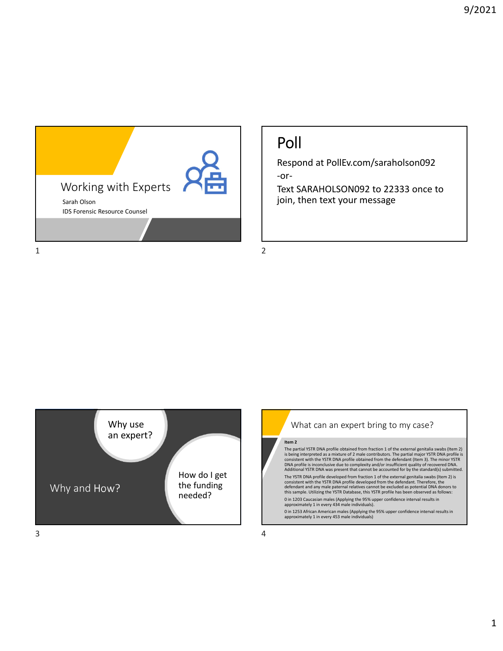

## Poll

Respond at PollEv.com/saraholson092 ‐or‐

Text SARAHOLSON092 to 22333 once to join, then text your message





## **Item 2**

The partial YSTR DNA profile obtained from fraction 1 of the external genitalia swabs (Item 2) is being interpreted as a mixture of 2 male contributors. The partial major YSTR DNA profile is<br>consistent with the YSTR DNA profile obtained from the defendant (Item 3). The minor YSTR<br>DNA profile is inconclusive due to c

The YSTR DNA profile developed from fraction 1 of the external genitalia swabs (Item 2) is consistent with the YSTR DNA profile developed from the defendant. Therefore, the defendant and any male paternal relatives cannot be excluded as potential DNA donors to this sample. Utilizing the YSTR Database, this YSTR profile has been observed as follows: 0 in 1203 Caucasian males (Applying the 95% upper confidence interval results in approximately 1 in every 434 male individuals).

0 in 1253 African American males (Applying the 95% upper confidence interval results in approximately 1 in every 453 male individuals)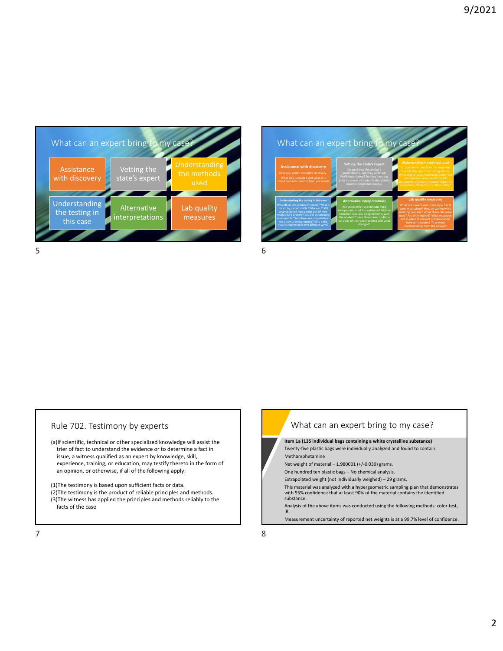



## Rule 702. Testimony by experts

(a)If scientific, technical or other specialized knowledge will assist the trier of fact to understand the evidence or to determine a fact in issue, a witness qualified as an expert by knowledge, skill, experience, training, or education, may testify thereto in the form of an opinion, or otherwise, if all of the following apply:

(1)The testimony is based upon sufficient facts or data. (2)The testimony is the product of reliable principles and methods. (3)The witness has applied the principles and methods reliably to the facts of the case

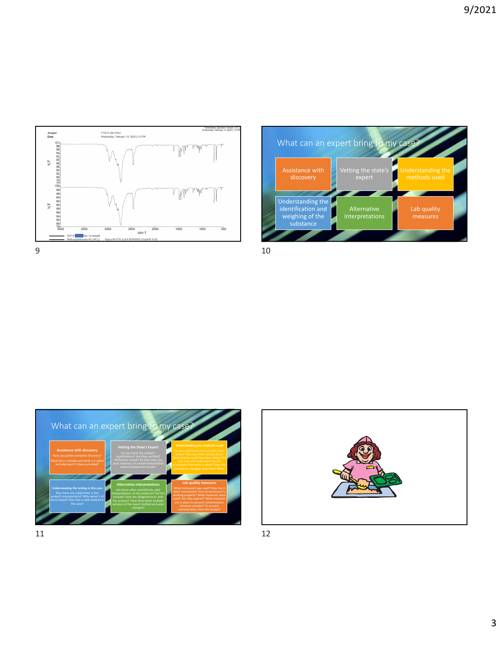







 $11$  12